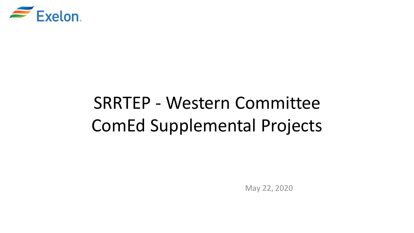

# SRRTEP - Western Committee ComEd Supplemental Projects

May 22, 2020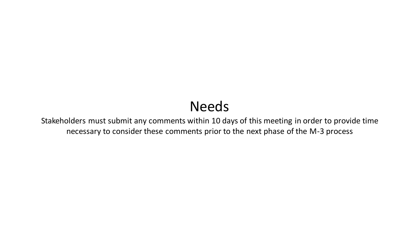## Needs

Stakeholders must submit any comments within 10 days of this meeting in order to provide time necessary to consider these comments prior to the next phase of the M-3 process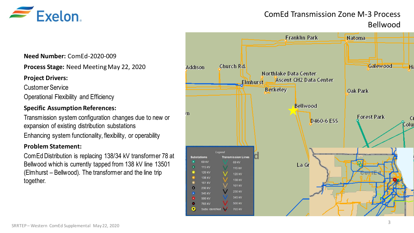

### ComEd Transmission Zone M-3 Process Bellwood

#### **Need Number:** ComEd-2020-009

**Process Stage:** Need Meeting May 22, 2020

#### **Project Drivers:**

Customer Service Operational Flexibility and Efficiency

#### **Specific Assumption References:**

Transmission system configuration changes due to new or expansion of existing distribution substations

Enhancing system functionality, flexibility, or operability

#### **Problem Statement:**

ComEd Distribution is replacing 138/34 kV transformer 78 at Bellwood which is currently tapped from 138 kV line 13501 (Elmhurst – Bellwood). The transformer and the line trip together.

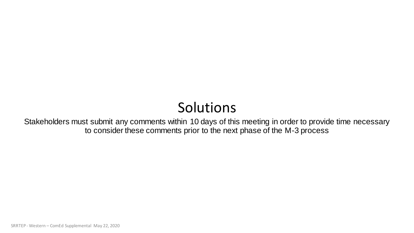## Solutions

Stakeholders must submit any comments within 10 days of this meeting in order to provide time necessary to consider these comments prior to the next phase of the M-3 process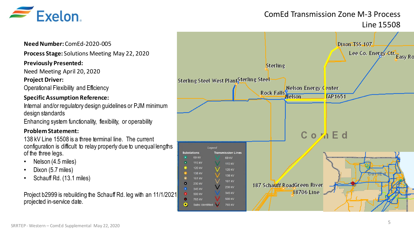

## ComEd Transmission Zone M-3 Process Line 15508

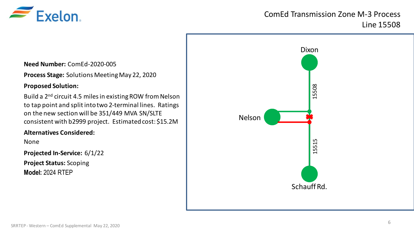

## ComEd Transmission Zone M-3 Process Line 15508

**Need Number:** ComEd-2020-005

**Process Stage:** Solutions Meeting May 22, 2020

#### **Proposed Solution:**

Build a 2nd circuit 4.5 miles in existing ROW from Nelson to tap point and split into two 2-terminal lines. Ratings on the new section will be 351/449 MVA SN/SLTE consistent with b2999 project. Estimated cost: \$15.2M

#### **Alternatives Considered:**

None

**Projected In-Service:** 6/1/22

**Project Status:** Scoping **Model:** 2024 RTEP

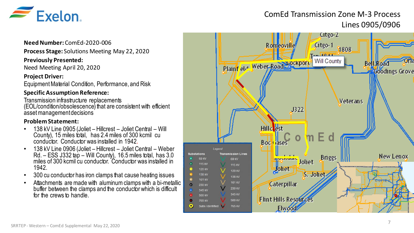

## ComEd Transmission Zone M-3 Process Lines 0905/0906

#### **Need Number:** ComEd-2020-006

**Process Stage:** Solutions Meeting May 22, 2020

#### **Previously Presented:**

Need Meeting April 20, 2020

#### **Project Driver:**

Equipment Material Condition, Performance, and Risk

#### **Specific Assumption Reference:**

Transmission infrastructure replacements (EOL/condition/obsolescence) that are consistent with efficient asset management decisions

#### **Problem Statement:**

- 138 kV Line 0905 (Joliet Hillcrest Joliet Central Will County), 15 miles total, has 2.4 miles of 300 kcmil cu conductor. Conductor was installed in 1942.
- 138 kV Line 0906 (Joliet Hillcrest Joliet Central Weber Rd. – ESS J332 tap – Will County), 16.5 miles total, has 3.0 miles of 300 kcmil cu conductor. Conductor was installed in 1942.
- 300 cu conductor has iron clamps that cause heating issues
- Attachments are made with aluminum clamps with a bi-metallic buffer between the clamps and the conductor which is difficult for the crews to handle.

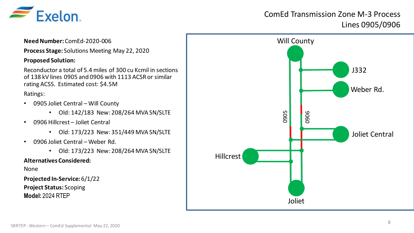

## ComEd Transmission Zone M-3 Process Lines 0905/0906

### **Need Number:** ComEd-2020-006 **Process Stage:** Solutions Meeting May 22, 2020 **Proposed Solution:** Reconductor a total of 5.4 miles of 300 cu Kcmil in sections of 138 kV lines 0905 and 0906 with 1113 ACSR or similar rating ACSS. Estimated cost: \$4.5M Ratings: • 0905 Joliet Central – Will County • Old: 142/183 New: 208/264 MVA SN/SLTE • 0906 Hillcrest – Joliet Central • Old: 173/223 New: 351/449 MVA SN/SLTE • 0906 Joliet Central – Weber Rd.

• Old: 173/223 New: 208/264 MVA SN/SLTE

#### **Alternatives Considered:**

None

**Projected In-Service:** 6/1/22 **Project Status:** Scoping **Model:** 2024 RTEP

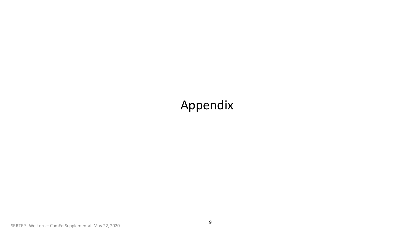## Appendix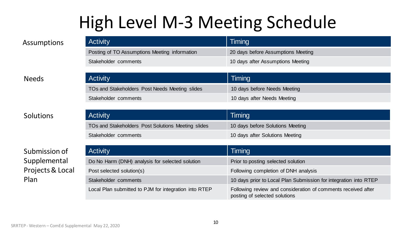# High Level M-3 Meeting Schedule

| <b>Activity</b>                               | Timing                             |
|-----------------------------------------------|------------------------------------|
| Posting of TO Assumptions Meeting information | 20 days before Assumptions Meeting |
| Stakeholder comments                          | 10 days after Assumptions Meeting  |

#### Needs

### Solutions

### Submission of Supplemental Projects & Local Plan

| <b>Activity</b>                                | Timing                       |
|------------------------------------------------|------------------------------|
| TOs and Stakeholders Post Needs Meeting slides | 10 days before Needs Meeting |
| Stakeholder comments                           | 10 days after Needs Meeting  |
|                                                |                              |
| <b>Activity</b>                                | Timing                       |

| $\overline{ }$                                     |                                  |
|----------------------------------------------------|----------------------------------|
| TOs and Stakeholders Post Solutions Meeting slides | 10 days before Solutions Meeting |
| Stakeholder comments                               | 10 days after Solutions Meeting  |

| <b>Activity</b>                                       | Timing                                                                                         |
|-------------------------------------------------------|------------------------------------------------------------------------------------------------|
| Do No Harm (DNH) analysis for selected solution       | Prior to posting selected solution                                                             |
| Post selected solution(s)                             | Following completion of DNH analysis                                                           |
| Stakeholder comments                                  | 10 days prior to Local Plan Submission for integration into RTEP                               |
| Local Plan submitted to PJM for integration into RTEP | Following review and consideration of comments received after<br>posting of selected solutions |